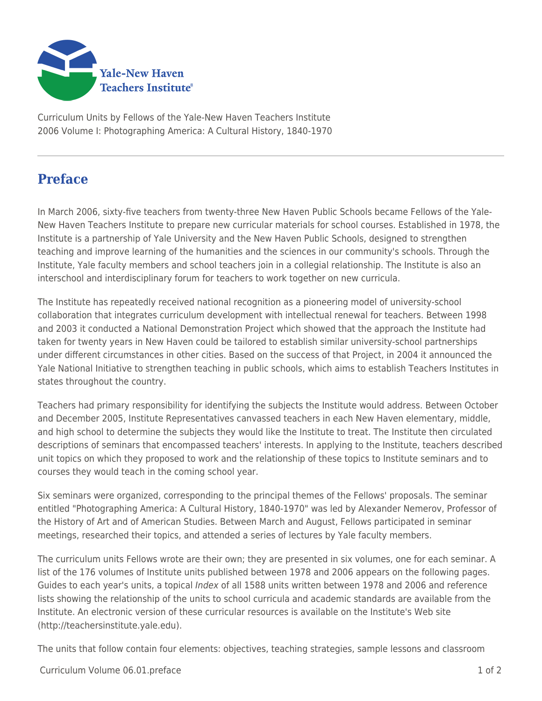

Curriculum Units by Fellows of the Yale-New Haven Teachers Institute 2006 Volume I: Photographing America: A Cultural History, 1840-1970

## **Preface**

In March 2006, sixty-five teachers from twenty-three New Haven Public Schools became Fellows of the Yale-New Haven Teachers Institute to prepare new curricular materials for school courses. Established in 1978, the Institute is a partnership of Yale University and the New Haven Public Schools, designed to strengthen teaching and improve learning of the humanities and the sciences in our community's schools. Through the Institute, Yale faculty members and school teachers join in a collegial relationship. The Institute is also an interschool and interdisciplinary forum for teachers to work together on new curricula.

The Institute has repeatedly received national recognition as a pioneering model of university-school collaboration that integrates curriculum development with intellectual renewal for teachers. Between 1998 and 2003 it conducted a National Demonstration Project which showed that the approach the Institute had taken for twenty years in New Haven could be tailored to establish similar university-school partnerships under different circumstances in other cities. Based on the success of that Project, in 2004 it announced the Yale National Initiative to strengthen teaching in public schools, which aims to establish Teachers Institutes in states throughout the country.

Teachers had primary responsibility for identifying the subjects the Institute would address. Between October and December 2005, Institute Representatives canvassed teachers in each New Haven elementary, middle, and high school to determine the subjects they would like the Institute to treat. The Institute then circulated descriptions of seminars that encompassed teachers' interests. In applying to the Institute, teachers described unit topics on which they proposed to work and the relationship of these topics to Institute seminars and to courses they would teach in the coming school year.

Six seminars were organized, corresponding to the principal themes of the Fellows' proposals. The seminar entitled "Photographing America: A Cultural History, 1840-1970" was led by Alexander Nemerov, Professor of the History of Art and of American Studies. Between March and August, Fellows participated in seminar meetings, researched their topics, and attended a series of lectures by Yale faculty members.

The curriculum units Fellows wrote are their own; they are presented in six volumes, one for each seminar. A list of the 176 volumes of Institute units published between 1978 and 2006 appears on the following pages. Guides to each year's units, a topical *Index* of all 1588 units written between 1978 and 2006 and reference lists showing the relationship of the units to school curricula and academic standards are available from the Institute. An electronic version of these curricular resources is available on the Institute's Web site (http://teachersinstitute.yale.edu).

The units that follow contain four elements: objectives, teaching strategies, sample lessons and classroom

Curriculum Volume 06.01.preface 1 of 2